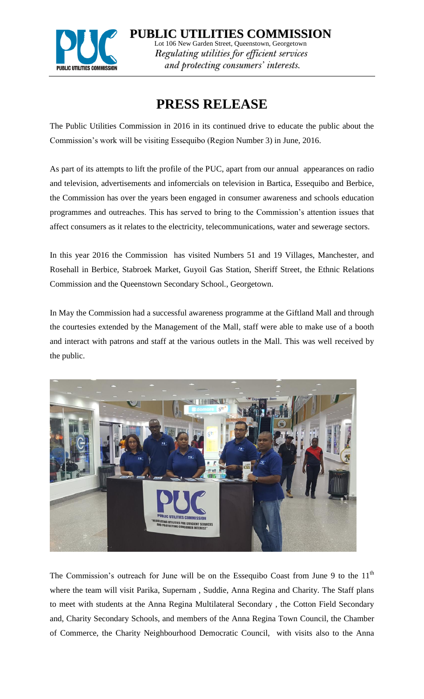

**PUBLIC UTILITIES COMMISSION** Lot 106 New Garden Street, Queenstown, Georgetown *Regulating utilities for efficient services and protecting consumers' interests.*

## **PRESS RELEASE**

The Public Utilities Commission in 2016 in its continued drive to educate the public about the Commission's work will be visiting Essequibo (Region Number 3) in June, 2016.

As part of its attempts to lift the profile of the PUC, apart from our annual appearances on radio and television, advertisements and infomercials on television in Bartica, Essequibo and Berbice, the Commission has over the years been engaged in consumer awareness and schools education programmes and outreaches. This has served to bring to the Commission's attention issues that affect consumers as it relates to the electricity, telecommunications, water and sewerage sectors.

In this year 2016 the Commission has visited Numbers 51 and 19 Villages, Manchester, and Rosehall in Berbice, Stabroek Market, Guyoil Gas Station, Sheriff Street, the Ethnic Relations Commission and the Queenstown Secondary School., Georgetown.

In May the Commission had a successful awareness programme at the Giftland Mall and through the courtesies extended by the Management of the Mall, staff were able to make use of a booth and interact with patrons and staff at the various outlets in the Mall. This was well received by the public.



The Commission's outreach for June will be on the Essequibo Coast from June 9 to the  $11<sup>th</sup>$ where the team will visit Parika, Supernam , Suddie, Anna Regina and Charity. The Staff plans to meet with students at the Anna Regina Multilateral Secondary , the Cotton Field Secondary and, Charity Secondary Schools, and members of the Anna Regina Town Council, the Chamber of Commerce, the Charity Neighbourhood Democratic Council, with visits also to the Anna